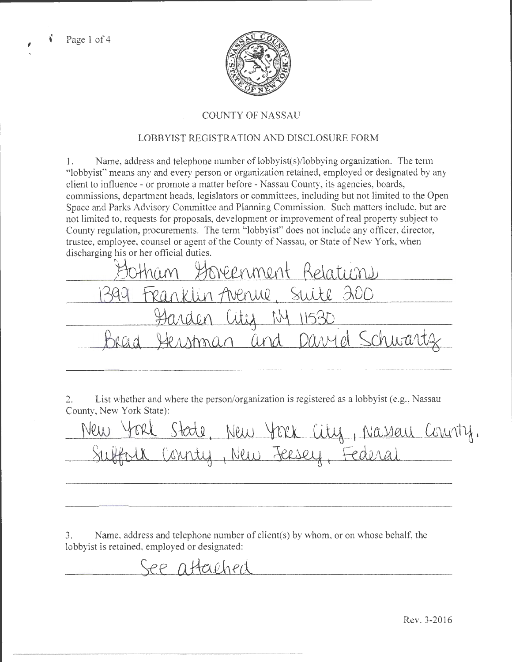

# COUNTY OF NASSAU

# LOBBYIST REGISTRATION AND DISCLOSURE FORM

1. Name, address and telephone number of lobbyist( s)/lobbying organization. The term "lobbyist" means any and every person or organization retained, employed or designated by any client to influence- or promote a matter before- Nassau County, its agencies, boards, commissions, department heads, legislators or committees, including but not limited to the Open Space and Parks Advisory Committee and Planning Commission. Such matters include, but arc not limited to, requests for proposals, development or improvement of real property subject to County regulation, procurements. The term "lobbyist" does not include any officer, director, trustee, employee, counsel or agent of the County of Nassau, or State of New York, when discharging his or her official duties.

2. List whether and where the person/organization is registered as a lobbyist (e.g., Nassau County, New York State):

New York State, New York City, Nassau County. <u>ew York State, New York City, Nassau (</u><br>Subfolk County, New Jeesey, Federal

3. Name, address and telephone number of client(s) by whom, or on whose behalf, the lobbyist is retained, employed or designated:

See attached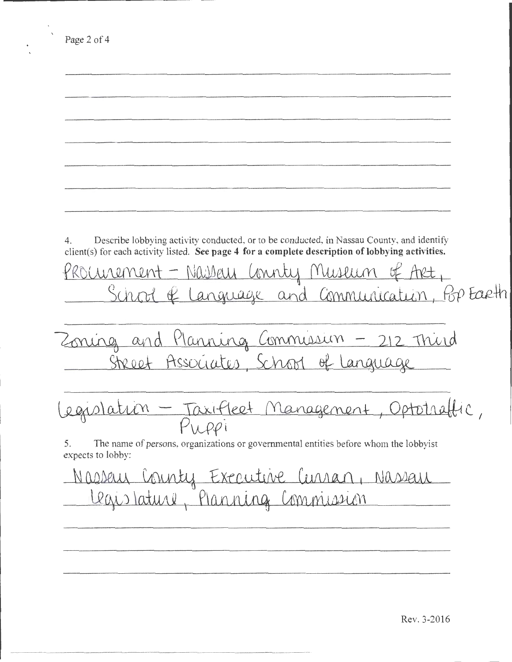Page 2 of 4 4. Describe lobbying activity conducted, or to be conducted, in Nassau County, and identify client(s) for each activity listed. See page 4 for a complete description of lobbying activities.  $f$ ROUWEMENt - Nassau Connty Museum of Art,  $S$ chood of Language and Communication, *Pop* Earth Suite & Carylage and Commission - 212 Third 2 and Planning Commission - 212 Third<br>Street Associates, School of Language egislation - Taxifieet Management, Optotraffic, 5. The name of persons, organizations or governmental entities before whom the lobbyist expects to lobby: N *O.DMill.* CADAU\ ~ £x-rw.Live *(11!\J\R.f)* 1 NOJ10aJt <u>Legislature, Planning Commission</u>

Rev. 3-2016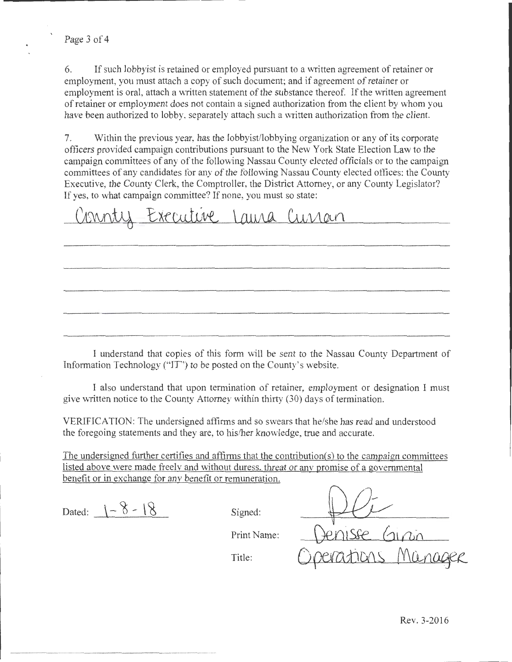6. If such lobbyist is retained or employed pursuant to a written agreement of retainer or employment, you must attach a copy of such document; and if agreement of retainer or employment is oral, attach a written statement of the substance thereof. If the written agreement of retainer or employment does not contain a signed authorization from the client by whom you have been authorized to lobby, separately attach such a written authorization from the client.

7. Within the previous year, has the lobbyist/lobbying organization or any of its corporate officers provided campaign contributions pursuant to the New York State Election Law to the campaign committees of any of the following Nassau County elected officials or to the campaign committees of any candidates for any of the following Nassau County elected offices: the County Executive, the County Clerk, the Comptroller, the District Attorney, or any County Legislator? If yes, to what campaign committee? If none, you must so state:

Connty Executive Laura Currain

I understand that copies of this form will be sent to the Nassau County Department of Information Technology ("IT") to be posted on the County's website.

I also understand that upon termination of retainer, employment or designation I must give written notice to the County Attorney within thirty (30) days of termination.

VERIFICATION: The undersigned affirms and so swears that he/she has read and understood the foregoing statements and they are, to his/her knowledge, true and accurate.

The undersigned further certifies and affirms that the contribution(s) to the campaign committees listed above were made freely and without duress, threat or any promise of a governmental benefit or in exchange for any benefit or remuneration.

Dated:  $1 - 8 - 18$  Signed:

Print Name:

Title: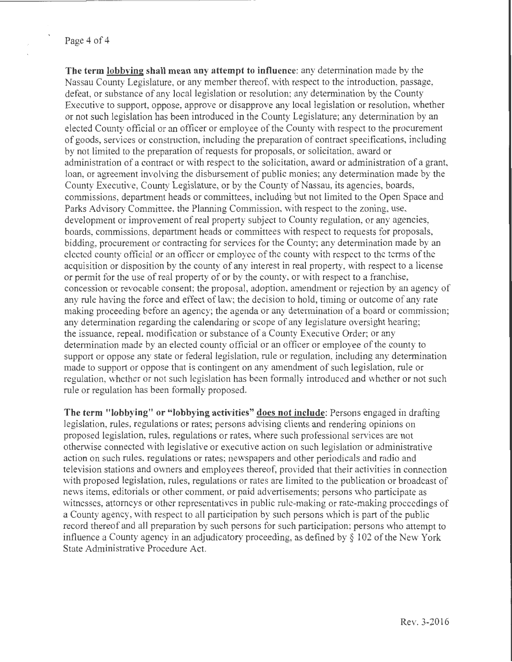**The term lobbying shall mean any attempt to influence:** any determination made by the Nassau County Legislature, or any member thereof, with respect to the introduction, passage, defeat, or substance of any local legislation or resolution; any determination by the County Executive to support, oppose, approve or disapprove any local legislation or resolution, whether or not such legislation bas been introduced in the County Legislature; any determination by an elected County official or an officer or employee of the County vvith respect to the procurement of goods, services or construction, including the preparation of contract specifications, including by not limited to the preparation of requests for proposals, or solicitation, award or administration of a contract or with respect to the solicitation, award or administration of a grant, loan, or agreement involving the disbursement of public monies; any determination made by the County Executive, County Legislature, or by the County of Nassau, its agencies, boards, commissions, department heads or committees, including but not limited to the Open Space and Parks Advisory Committee, the Planning Commission, with respect to the zoning, use, development or improvement of real property subject to County regulation, or any agencies, boards, commissions, department heads or committees with respect to requests for proposals, bidding, procurement or contracting for services for the County; any determination made by an elected county official or an officer or employee of the county with respect to the terms of the acquisition or disposition by the county of any interest in real property, with respect to a license or permit for the use of real property of or by the county, or with respect to a franchise, concession or revocable consent; the proposal, adoption, amendment or rejection by an agency of any *rule* having the force and effect of law; the decision to hold, timing or outcome of any rate making proceeding before an agency; the agenda or any determination of a board or commission; any determination regarding the calendaring or scope of any legislature oversight hearing; the issuance, repeal, modification or substance of a County Executive Order; or any determination made by an elected county official or an officer or employee of the county to support or oppose any state or federal legislation, rule or regulation, including any determination made to support or oppose that is contingent on any amendment of such legislation, rule or regulation, whether or not such legislation has been formally introduced and whether or not such rule or regulation has been formally proposed.

**The term "lobbying" or "lobbying activities" does not include:** Persons engaged in drafting legislation, rules, regulations or rates; persons advising clients and rendering opinions on proposed legislation, rules, regulations or rates, where such professional services are not otherwise connected with legislative or executive action on such legislation or administrative action on such rules, regulations or rates; newspapers and other periodicals and radio and television stations and owners and employees thereof, provided that their activities in connection with proposed legislation, rules, regulations or rates are limited to the publication or broadcast of news items, editorials or other comment, or paid advertisements; persons who participate as witnesses, attorneys or other representatives in public rule-making or rate-making proceedings of a County agency, with respect to all participation by such persons which is part of the public record thereof and all preparation by such persons for such participation; persons who attempt to influence a County agency in an adjudicatory proceeding, as defined by  $\S$  102 of the New York State Administrative Procedure Act.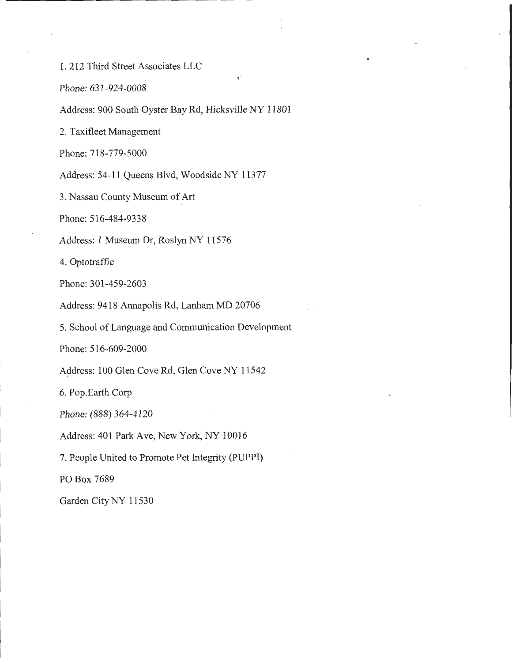1. 212 Third Street Associates LLC

Phone: 631-924-0008

Address: 900 South Oyster Bay Rd, Hicksville NY 11801

2. Taxifleet Management

Phone: 718-779-5000

Address: 54-11 Queens Blvd, Woodside NY 11377

3. Nassau County Museum of Art

Phone: 516-484-9338

Address: 1 Museum Dr, Roslyn NY 11576

4. Optotraffic

Phone: 301-459-2603

Address: 9418 Annapolis Rd, Lanham MD 20706

5. School of Language and Communication Development

Phone: 516-609-2000

Address: 100 Glen Cove Rd, Glen Cove NY 11542

6. Pop.Earth Corp

Phone: (888) 364-4120

Address: 401 Park Ave, New York, NY 10016

7. People United to Promote Pet Integrity (PUPPI)

PO Box 7689

Garden City NY 11530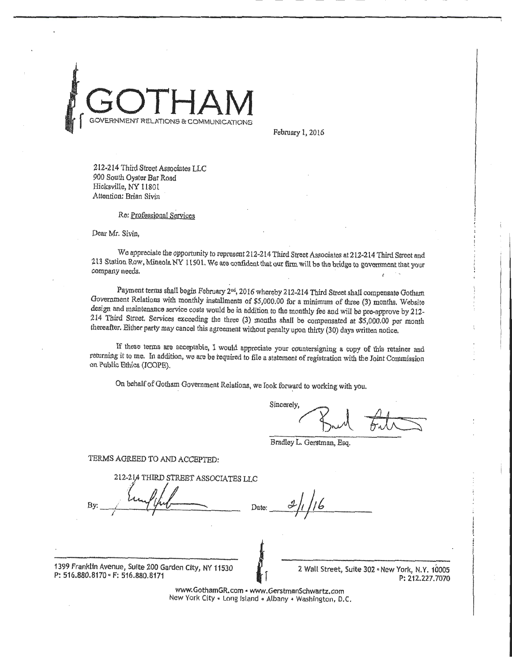

February 1, 2016

212-214 Third Street Associates LLC 900 South Oyster Bar Road Hicksville, NY 11801 Attention: Brian Sivin

#### Re: Professional Services

Deur Mr. Sivin,

We appreciate the opportunity to represent 212-214 Third Street Associates at 212-214 Third Street and 213 Station Row, Mineola NY 11501. We are confident that our firm will be the bridge to government that your company needs.

Payment terms shall begin February 2<sup>nd</sup>, 2016 whereby 212-214 Third Street shall compensate Gotham Government Relations with monthly installments of \$5,000.00 for a minimum of three (3) months. Website design and maintenance service costs would be in addition to the monthly fee and will be pre-approve by 212- 214 Third Street. Services exceeding the three (3) months shall be compensated at \$5,000.00 per month thereafter. Either party may cancel this agreement without penalty upon thirty (30) days written notice.

If these tenns are acceptable, I would appreciate your countersigning a copy of this retainer and returning it to me. In addition, we are be required to file a statement of registration with the Joint Commission on Public Ethics (JCOPB).

On behalf of Gotham Government Relations, we Iook forward to working with you.

Sincerely,  $\sqrt{3}$  and  $\sqrt{3}$ 

Bradley L. Gerstman, Esq.

TERMS AGREED TO AND ACCEPTED:

 $212 - 214$ 

By:  $\frac{1}{\sqrt{2}}$   $\frac{1}{\sqrt{2}}$ <u>Itting that Date: 2/1/16</u>

1399 Franklin Avenue, Suite 200 Garden City, NY 11530 P: 516.880.8170 • F: 516.880.8171

2 Wall Street, Suite 302 • New York, N.Y. 10005 P: 212.227.7070

www.GothamGR.com • www.GerstmanSchwartz.com New York City • Long Island • Albany • Washington, D.C.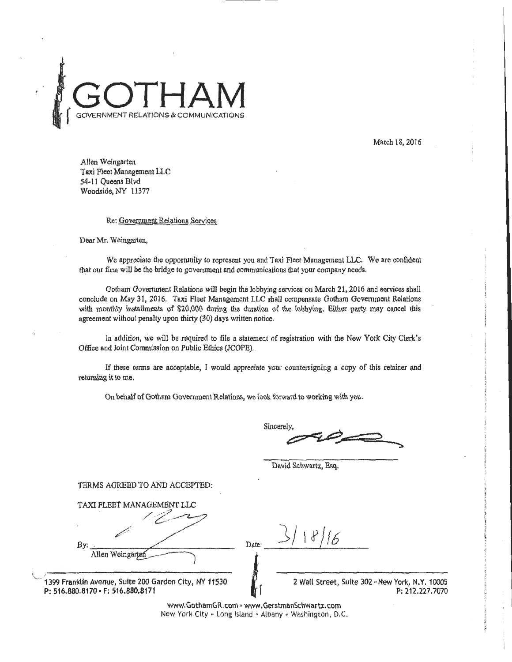

March 18,2016

Allen Weingarten Taxi Fleet Management LLC 54-11 Oueens Blvd Woodside,NY 11377

### Re: Government Relations Services

Dear Mr. Weingarten,

We appreciate the opportunity to represent you and Taxi Fleet Management LLC. We are confident that our finn will be the bridge to government and communications that your company needs.

Gotham Government Relations will begin the lobbying services on March 21,2016 and services shall conclude on May 31, 2016. Taxi Fleet Management LLC shall compensate Gotham Government Relations with monthly installments of \$20,000 during the duration of the lobbying. Either party may cancel this agreement without penalty upon thirty (30) days written notice.

In addition, we will be required to file a statement of registration with the New York City Clerk's Office and Joint Commission on Public Ethics (JCOPE) ..

If these tetms are acceptable, I would appreciate your countersigning a copy of this retainer and returning it to me.

On behalf of Gotham Government Relations, we look forward to working with you.

Sincerely

David Schwartz, Esq.

TERMS AGREED TO AND ACCEPTED:

TAXI FLEET MANAGEMENT LLC ' . . / ·  $\mathcal{Z}$  . /--'' /' By: Allen Weingarter \ ,------------------- <sup>~</sup>1399 Franklin Avenue, Suite *200* Garden City, NY 11530

P: 516.880.8170 - F: 516.880.8171

 $D$ ate:  $\frac{3/18/6}{}$ 

2 Wall Street, Suite 302 "New York, N.Y. 10005 P: 212.227.7070

www.GothamGR.com • www.GerstmanSchwartz.com New York City - Long Island - Albany - Washington, D.C.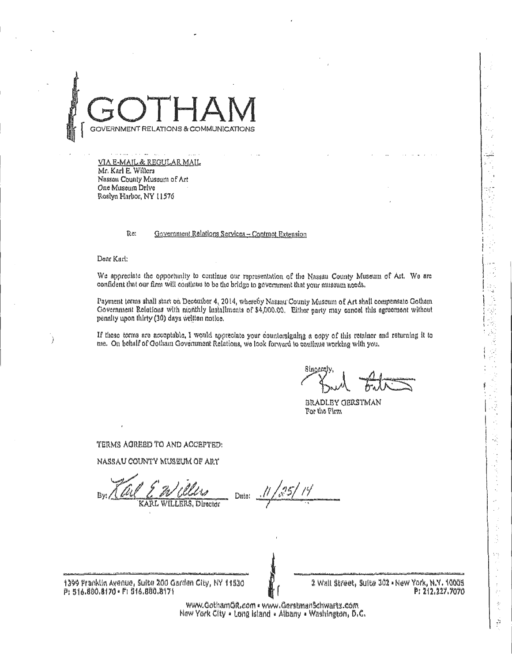

VIA E-MAIL & REGULAR MAIL Mr. Karl E. Willers Nassau County Muscum of Art One Museum Drive Roslyn Harbor, NY 11576

> Re: Government Relations Services - Contract Extension

Dear Karl:

We appreciate the opportunity to continue our representation of the Nassau County Museum of Art. We are confident that our firm will continue to be the bridge to government that your museum needs.

Payment terms shall start on December 4, 2014, whereby Nassau County Museum of Art shall compensate Gotham Government Relations with monthly installments of \$4,000.00. Either party may cancel this agreement without penalty upon thirty (30) days written notice.

If these terms are acceptable, I would appreciate your countersigning a copy of this retainer and returning it to me. On behalf of Ootham Government Relations, we look forward to continue working with you.

2年之上學院為著名

÷,

 $\frac{1}{2}$ 

**BRADLEY GERSTMAN** For the Firm

TERMS ACREED TO AND ACCEPTED:

NASSAU COUNTY MUSEUM OF ART

Ditte:

1399 Franklin Avenue, Suite 200 Garden City, NY 11530 P: 516.880.8170 · F: 516.880.8171

2 Wall Street, Suite 302 = New York, N.Y. 10005 P: 212.227.7070

www.GothamGR.com . www.Gerstmanschwartz.com New York City . Long Island . Albany . Washington, D.C.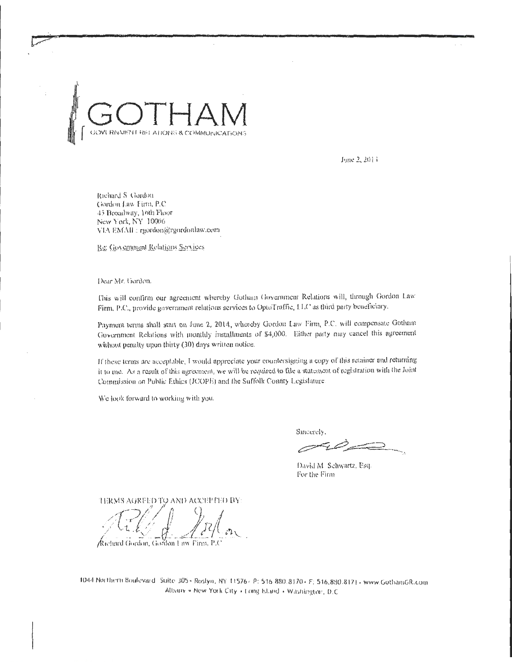June 2, 2014

Richard S. Gordon Gordon Law Firm, P.C. 45 Broadway, 16th Floor New York, NY 10006 VIA EMAIL: rgordon@rgordonlaw.com

Re: Government Relations Services

Dear Mr. Gordon.

This will confirm our agreement whereby Gotham Government Relations will, through Gordon Law Firm, P.C., provide government relations services to OptoTraffic, LLC as third party beneficiary.

Payment terms shall start on June 2, 2014, whereby Gordon Law Firm, P.C. will compensate Gotham Government Relations with monthly installments of \$4,000. Either party may cancel this agreement without penalty upon thirty (30) days written notice.

If these terms are acceptable, I would appreciate your countersigning a copy of this retainer and returning it to me. As a result of this agreement, we will be required to file a statement of registration with the Joint Commission on Public Ethics (JCOPE) and the Suffolk County Legislature

We look forward to working with you.

Sincerely.

David M. Schwartz, Esq. For the Firm

TERMS AGREED TO AND ACCEPTED BY:

Richard Gordon, Gordon Law Firm, P.C

1044 Northern Boulevard Suite 305 · Rostyn, NY 11576 - P: 516 880.8170 · F: 516.880.8171 - www.GothamGR.com Albany . New York City . Long Island . Washington, D.C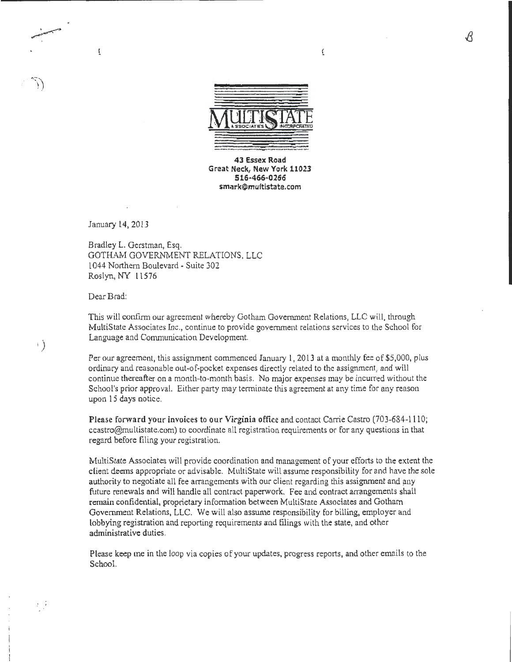

 $\overline{\mathfrak{c}}$ 

43 Essex Road Great Neck, New York 11023 516·466-0266 smark@multistate.com

January 14,2013

. \_..,., .. .r""~' '

 $\left\{ \begin{array}{c} 1 \end{array} \right\}$ 

 $t/\tilde{J}$ 

ŧ

Bradley L. Gerstman, Esq. GOTHAM GOVERNMENT RELATIONS, LLC 1044 Northern Boulevard- Suite 302 Roslyn, NY 11576

Dear Brad:

This will confirm our agreement whereby Gotham Government Relations, LLC will, through MultiState Associates Inc., continue to provide government relations services to the School for Language and Communication Development.

Per our agreement, this assignment commenced January 1, 2013 at a monthly fee of \$5,000, plus ordinary and reasonable out-of-pocket expenses directly related to the assignment, and will continue thereafter on a month-to-month basis. No major expenses may be incurred without the School's prior approval. Either party may terminate this agreement at any time for any reason upon 15 days notice.

Please forward your invoices to our Virginia office and contact Carrie Castro (703-684-1110; ccastro@multistate.com) to coordinate all registration requirements or for any questions in that regard before filing your registration.

MultiState Associates will provide coordination and management of your efforts to the extent the client deems appropriate or advisable. MultiState will assume responsibility for and have the sole authority to negotiate all fee arrangements with our client regarding this assignment and any future renewals and will handle all contract paperwork. Fee and contract arrangements shall remain confidential, proprietary information between MultiState Associates and Gotham Government Relations, LLC. We will also assume responsibility for billing, employer and lobbying registration and reporting requirements and filings with the state, and other administrative duties.

Please keep me in the loop via copies of your updates, progress reports, and other emails to the School.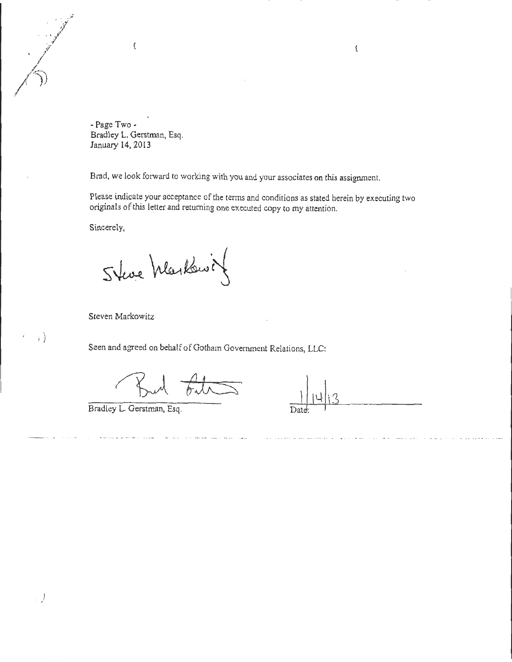-Page Two· Bradley L. Gerstman, Esq. January 14, 2013

Brad, we look forward to working with you and your associates on this assignment.

Please indicate your acceptance of the terms and conditions as stated herein by executing two originals of this letter and returning one executed copy to my attention.

Sincerely,

Steve Markswin

Steven Markowitz

Seen and agreed on behalf of Gotham Government Relations, LLC:

Bradley L. Gerstman, Esq.

 $\overline{\mathbf{r}}$ 

*. )* 

 $\left\{ \cdot \right\}$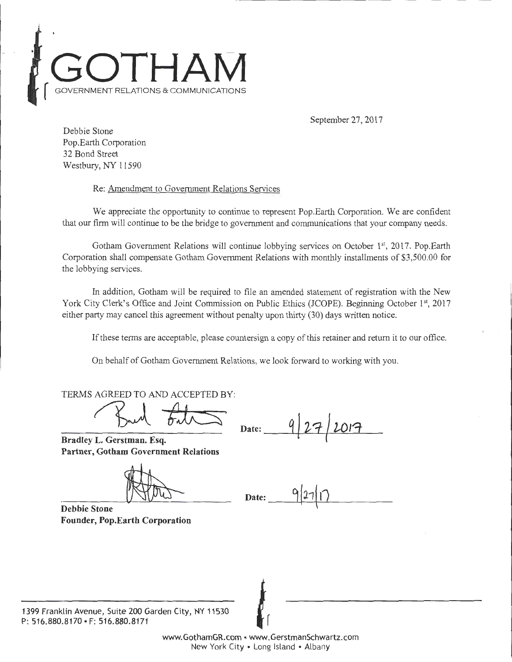

September 27, 2017

Debbie Stone Pop.Earth Corporation 32 Bond Street Westbury, NY 11590

Re: Amendment to Government Relations Services

We appreciate the opportunity to continue to represent Pop.Earth Corporation. We are confident that our firm will continue to be the bridge to government and communications that your company needs.

Gotham Government Relations will continue lobbying services on October  $1<sup>st</sup>$ , 2017. Pop.Earth Corporation shall compensate Gotham Government Relations with monthly installments of \$3,500.00 for the lobbying services.

In addition, Gotham will be required to file an amended statement of registration with the New York City Clerk's Office and Joint Commission on Public Ethics (JCOPE). Beginning October 1st, 2017 either party may cancel this agreement without penalty upon thirty (30) days written notice.

If these terms are acceptable, please countersign a copy of this retainer and return it to our office.

On behalf of Gotham Government Relations, we look forward to working with you.

TERMS AGREED TO AND ACCEPTED BY:

Sud Files Da

**Bradley L. Gerstman. Esq. Partner, Gotham Government Relations** 

 $\text{Date:}$  9/27/17

**Debbie Stone Founder, Pop.Earth Corporation** 

1399 Franklin Avenue, Suite 200 Garden City, NY 11530 **P:** 516.880.8170 • F: 516.880.8171